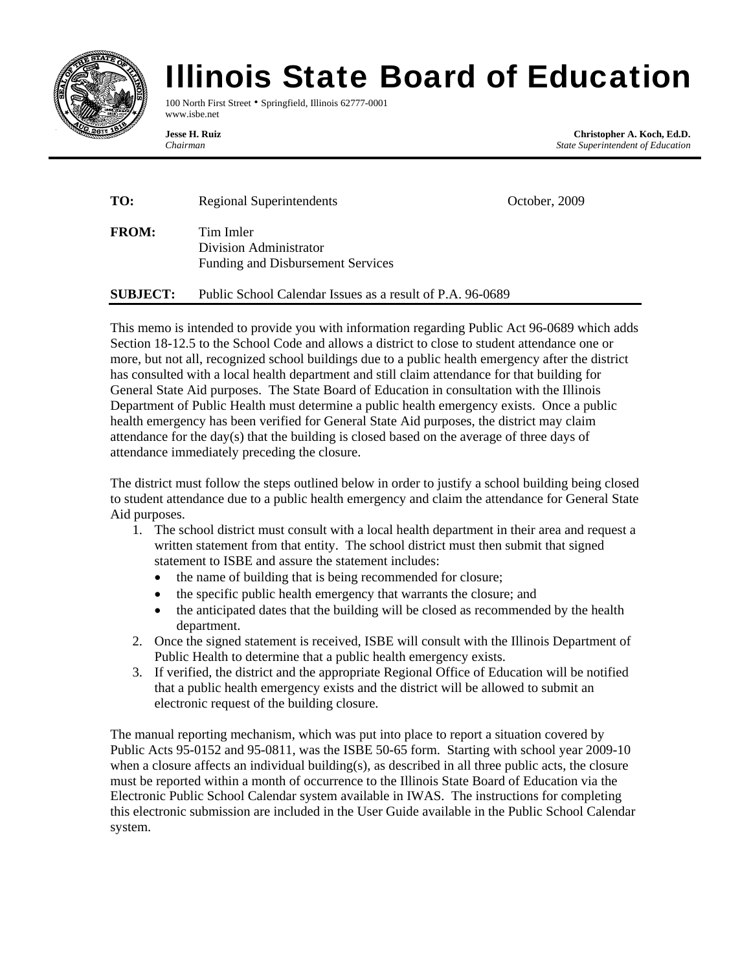

## Illinois State Board of Education

100 North First Street • Springfield, Illinois 62777-0001 www.isbe.net

**Jesse H. Ruiz Christopher A. Koch, Ed.D.**  *Chairman State Superintendent of Education* 

| TO:          | <b>Regional Superintendents</b>                                          | October, 2009 |
|--------------|--------------------------------------------------------------------------|---------------|
| <b>FROM:</b> | Tim Imler<br>Division Administrator<br>Funding and Disbursement Services |               |

**SUBJECT:** Public School Calendar Issues as a result of P.A. 96-0689

This memo is intended to provide you with information regarding Public Act 96-0689 which adds Section 18-12.5 to the School Code and allows a district to close to student attendance one or more, but not all, recognized school buildings due to a public health emergency after the district has consulted with a local health department and still claim attendance for that building for General State Aid purposes. The State Board of Education in consultation with the Illinois Department of Public Health must determine a public health emergency exists. Once a public health emergency has been verified for General State Aid purposes, the district may claim attendance for the day(s) that the building is closed based on the average of three days of attendance immediately preceding the closure.

The district must follow the steps outlined below in order to justify a school building being closed to student attendance due to a public health emergency and claim the attendance for General State Aid purposes.

- 1. The school district must consult with a local health department in their area and request a written statement from that entity. The school district must then submit that signed statement to ISBE and assure the statement includes:
	- the name of building that is being recommended for closure;
	- the specific public health emergency that warrants the closure; and
	- the anticipated dates that the building will be closed as recommended by the health department.
- 2. Once the signed statement is received, ISBE will consult with the Illinois Department of Public Health to determine that a public health emergency exists.
- 3. If verified, the district and the appropriate Regional Office of Education will be notified that a public health emergency exists and the district will be allowed to submit an electronic request of the building closure.

The manual reporting mechanism, which was put into place to report a situation covered by Public Acts 95-0152 and 95-0811, was the ISBE 50-65 form. Starting with school year 2009-10 when a closure affects an individual building(s), as described in all three public acts, the closure must be reported within a month of occurrence to the Illinois State Board of Education via the Electronic Public School Calendar system available in IWAS. The instructions for completing this electronic submission are included in the User Guide available in the Public School Calendar system.